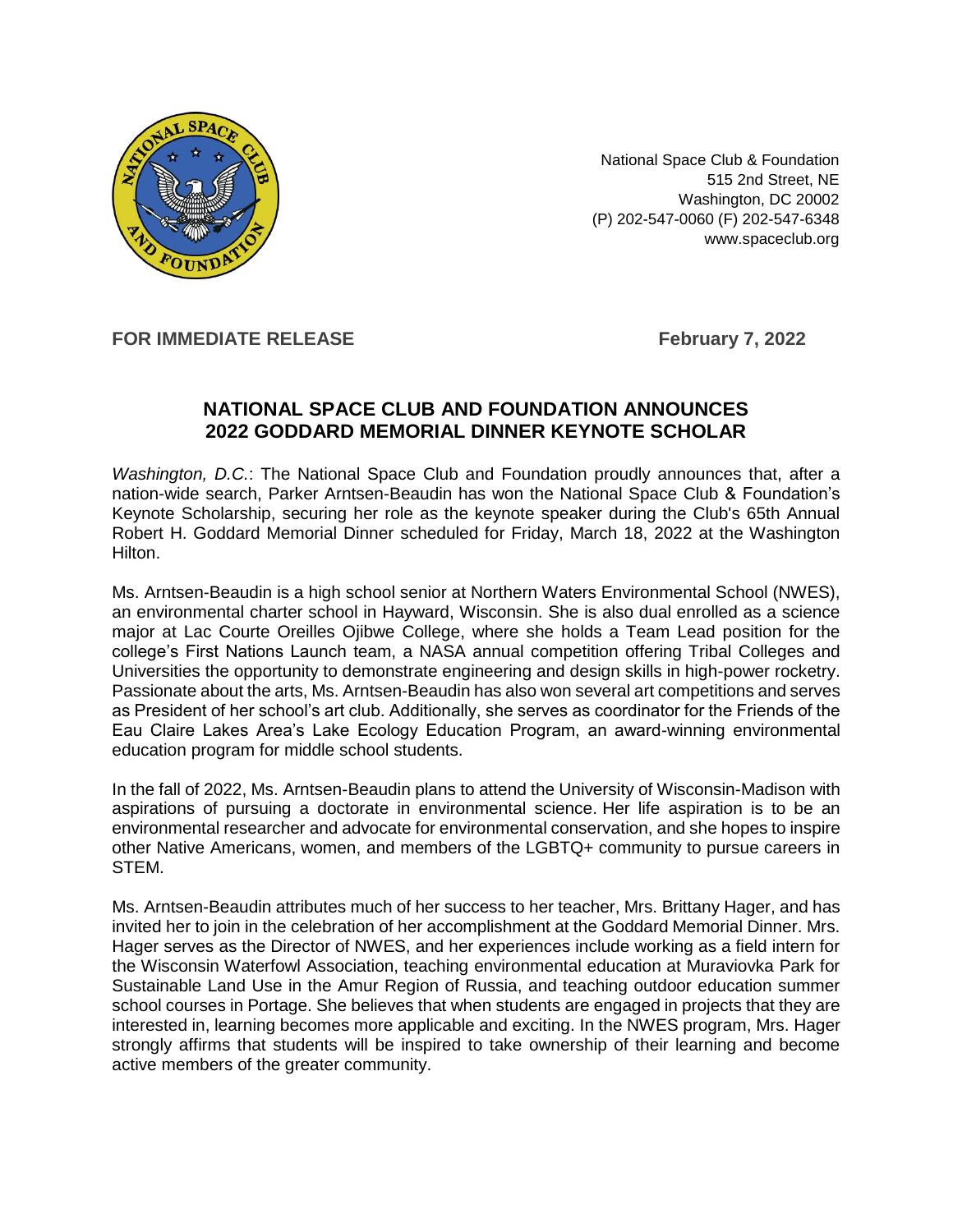

National Space Club & Foundation 515 2nd Street, NE Washington, DC 20002 (P) 202-547-0060 (F) 202-547-6348 [www.spaceclub.org](https://r20.rs6.net/tn.jsp?f=00117HDeZ7xlUYkpjQM3USvOrDHvCTOG4UONxWABzqqMeqaPXWy7J81uoP4R7afXrNEwRJvK8kyxGOo33PqgQiUm_Mr-TB_OZxLvIWlCuCVQ4phEOdX5t71OJ-Du_FrJcLCemhu95nPb9Gs1r1edLLwCA==&c=UdJLo6El2qmyDuSxp47jrrkFboIMAX98oQFJKIC45W-aRRBChUjx4Q==&ch=YA2I5-WxFFpaBfyZxe4Pca7g9o_Tcj3kMjv_7bNKK7BrwBr_Y_RyaA==)

## **FOR IMMEDIATE RELEASE February 7, 2022**

## **NATIONAL SPACE CLUB AND FOUNDATION ANNOUNCES 2022 GODDARD MEMORIAL DINNER KEYNOTE SCHOLAR**

*Washington, D.C.*: The National Space Club and Foundation proudly announces that, after a nation-wide search, Parker Arntsen-Beaudin has won the National Space Club & Foundation's Keynote Scholarship, securing her role as the keynote speaker during the Club's 65th Annual Robert H. Goddard Memorial Dinner scheduled for Friday, March 18, 2022 at the Washington Hilton.

Ms. Arntsen-Beaudin is a high school senior at Northern Waters Environmental School (NWES), an environmental charter school in Hayward, Wisconsin. She is also dual enrolled as a science major at Lac Courte Oreilles Ojibwe College, where she holds a Team Lead position for the college's First Nations Launch team, a NASA annual competition offering Tribal Colleges and Universities the opportunity to demonstrate engineering and design skills in high-power rocketry. Passionate about the arts, Ms. Arntsen-Beaudin has also won several art competitions and serves as President of her school's art club. Additionally, she serves as coordinator for the Friends of the Eau Claire Lakes Area's Lake Ecology Education Program, an award-winning environmental education program for middle school students.

In the fall of 2022, Ms. Arntsen-Beaudin plans to attend the University of Wisconsin-Madison with aspirations of pursuing a doctorate in environmental science. Her life aspiration is to be an environmental researcher and advocate for environmental conservation, and she hopes to inspire other Native Americans, women, and members of the LGBTQ+ community to pursue careers in STEM.

Ms. Arntsen-Beaudin attributes much of her success to her teacher, Mrs. Brittany Hager, and has invited her to join in the celebration of her accomplishment at the Goddard Memorial Dinner. Mrs. Hager serves as the Director of NWES, and her experiences include working as a field intern for the Wisconsin Waterfowl Association, teaching environmental education at Muraviovka Park for Sustainable Land Use in the Amur Region of Russia, and teaching outdoor education summer school courses in Portage. She believes that when students are engaged in projects that they are interested in, learning becomes more applicable and exciting. In the NWES program, Mrs. Hager strongly affirms that students will be inspired to take ownership of their learning and become active members of the greater community.